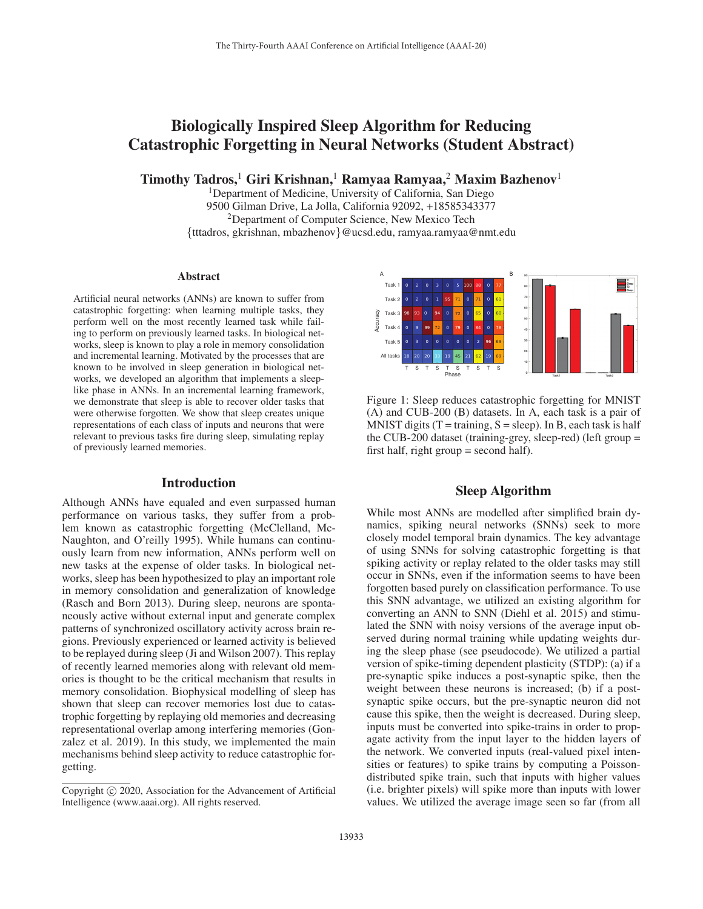# Biologically Inspired Sleep Algorithm for Reducing Catastrophic Forgetting in Neural Networks (Student Abstract)

Timothy Tadros,<sup>1</sup> Giri Krishnan,<sup>1</sup> Ramyaa Ramyaa,<sup>2</sup> Maxim Bazhenov<sup>1</sup>

1Department of Medicine, University of California, San Diego 9500 Gilman Drive, La Jolla, California 92092, +18585343377 2Department of Computer Science, New Mexico Tech {tttadros, gkrishnan, mbazhenov}@ucsd.edu, ramyaa.ramyaa@nmt.edu

#### Abstract

Artificial neural networks (ANNs) are known to suffer from catastrophic forgetting: when learning multiple tasks, they perform well on the most recently learned task while failing to perform on previously learned tasks. In biological networks, sleep is known to play a role in memory consolidation and incremental learning. Motivated by the processes that are known to be involved in sleep generation in biological networks, we developed an algorithm that implements a sleeplike phase in ANNs. In an incremental learning framework, we demonstrate that sleep is able to recover older tasks that were otherwise forgotten. We show that sleep creates unique representations of each class of inputs and neurons that were relevant to previous tasks fire during sleep, simulating replay of previously learned memories.

#### Introduction

Although ANNs have equaled and even surpassed human performance on various tasks, they suffer from a problem known as catastrophic forgetting (McClelland, Mc-Naughton, and O'reilly 1995). While humans can continuously learn from new information, ANNs perform well on new tasks at the expense of older tasks. In biological networks, sleep has been hypothesized to play an important role in memory consolidation and generalization of knowledge (Rasch and Born 2013). During sleep, neurons are spontaneously active without external input and generate complex patterns of synchronized oscillatory activity across brain regions. Previously experienced or learned activity is believed to be replayed during sleep (Ji and Wilson 2007). This replay of recently learned memories along with relevant old memories is thought to be the critical mechanism that results in memory consolidation. Biophysical modelling of sleep has shown that sleep can recover memories lost due to catastrophic forgetting by replaying old memories and decreasing representational overlap among interfering memories (Gonzalez et al. 2019). In this study, we implemented the main mechanisms behind sleep activity to reduce catastrophic forgetting.



Figure 1: Sleep reduces catastrophic forgetting for MNIST (A) and CUB-200 (B) datasets. In A, each task is a pair of MNIST digits (T = training,  $S =$  sleep). In B, each task is half the CUB-200 dataset (training-grey, sleep-red) (left group = first half, right group  $=$  second half).

# Sleep Algorithm

While most ANNs are modelled after simplified brain dynamics, spiking neural networks (SNNs) seek to more closely model temporal brain dynamics. The key advantage of using SNNs for solving catastrophic forgetting is that spiking activity or replay related to the older tasks may still occur in SNNs, even if the information seems to have been forgotten based purely on classification performance. To use this SNN advantage, we utilized an existing algorithm for converting an ANN to SNN (Diehl et al. 2015) and stimulated the SNN with noisy versions of the average input observed during normal training while updating weights during the sleep phase (see pseudocode). We utilized a partial version of spike-timing dependent plasticity (STDP): (a) if a pre-synaptic spike induces a post-synaptic spike, then the weight between these neurons is increased; (b) if a postsynaptic spike occurs, but the pre-synaptic neuron did not cause this spike, then the weight is decreased. During sleep, inputs must be converted into spike-trains in order to propagate activity from the input layer to the hidden layers of the network. We converted inputs (real-valued pixel intensities or features) to spike trains by computing a Poissondistributed spike train, such that inputs with higher values (i.e. brighter pixels) will spike more than inputs with lower values. We utilized the average image seen so far (from all

Copyright  $\odot$  2020, Association for the Advancement of Artificial Intelligence (www.aaai.org). All rights reserved.